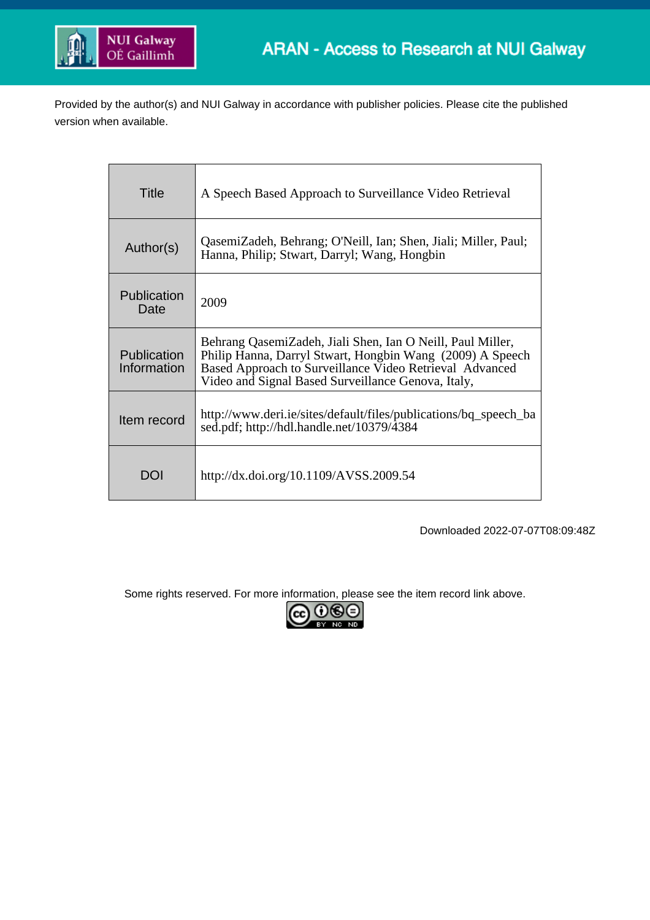

Provided by the author(s) and NUI Galway in accordance with publisher policies. Please cite the published version when available.

| Title                             | A Speech Based Approach to Surveillance Video Retrieval                                                                                                                                                                                  |  |
|-----------------------------------|------------------------------------------------------------------------------------------------------------------------------------------------------------------------------------------------------------------------------------------|--|
| Author(s)                         | QasemiZadeh, Behrang; O'Neill, Ian; Shen, Jiali; Miller, Paul;<br>Hanna, Philip; Stwart, Darryl; Wang, Hongbin                                                                                                                           |  |
| Publication<br>Date               | 2009                                                                                                                                                                                                                                     |  |
| <b>Publication</b><br>Information | Behrang QasemiZadeh, Jiali Shen, Ian O Neill, Paul Miller,<br>Philip Hanna, Darryl Stwart, Hongbin Wang (2009) A Speech<br>Based Approach to Surveillance Video Retrieval Advanced<br>Video and Signal Based Surveillance Genova, Italy, |  |
| Item record                       | http://www.deri.ie/sites/default/files/publications/bq_speech_ba<br>sed.pdf; http://hdl.handle.net/10379/4384                                                                                                                            |  |
| DOI                               | http://dx.doi.org/10.1109/AVSS.2009.54                                                                                                                                                                                                   |  |

Downloaded 2022-07-07T08:09:48Z

Some rights reserved. For more information, please see the item record link above.

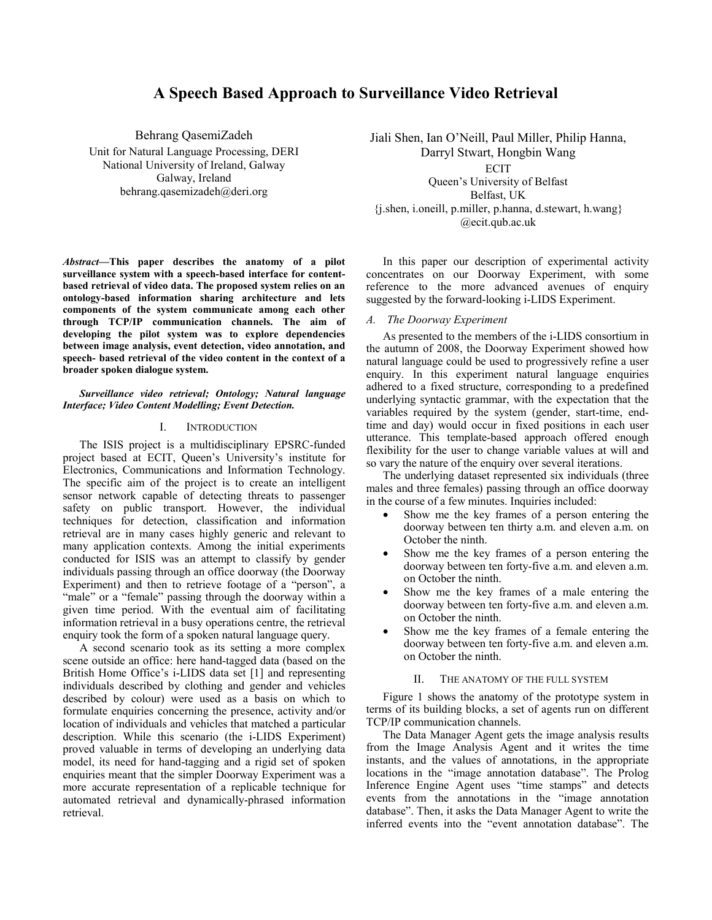# **A Speech Based Approach to Surveillance Video Retrieval**

Behrang QasemiZadeh Unit for Natural Language Processing, DERI National University of Ireland, Galway Galway, Ireland behrang.qasemizadeh@deri.org

*Abstract***—This paper describes the anatomy of a pilot surveillance system with a speech-based interface for contentbased retrieval of video data. The proposed system relies on an ontology-based information sharing architecture and lets components of the system communicate among each other through TCP/IP communication channels. The aim of developing the pilot system was to explore dependencies between image analysis, event detection, video annotation, and speech- based retrieval of the video content in the context of a broader spoken dialogue system.** 

#### *Surveillance video retrieval; Ontology; Natural language Interface; Video Content Modelling; Event Detection.*

## I. INTRODUCTION

The ISIS project is a multidisciplinary EPSRC-funded project based at ECIT, Queen's University's institute for Electronics, Communications and Information Technology. The specific aim of the project is to create an intelligent sensor network capable of detecting threats to passenger safety on public transport. However, the individual techniques for detection, classification and information retrieval are in many cases highly generic and relevant to many application contexts. Among the initial experiments conducted for ISIS was an attempt to classify by gender individuals passing through an office doorway (the Doorway Experiment) and then to retrieve footage of a "person", a "male" or a "female" passing through the doorway within a given time period. With the eventual aim of facilitating information retrieval in a busy operations centre, the retrieval enquiry took the form of a spoken natural language query.

A second scenario took as its setting a more complex scene outside an office: here hand-tagged data (based on the British Home Office's i-LIDS data set [1] and representing individuals described by clothing and gender and vehicles described by colour) were used as a basis on which to formulate enquiries concerning the presence, activity and/or location of individuals and vehicles that matched a particular description. While this scenario (the i-LIDS Experiment) proved valuable in terms of developing an underlying data model, its need for hand-tagging and a rigid set of spoken enquiries meant that the simpler Doorway Experiment was a more accurate representation of a replicable technique for automated retrieval and dynamically-phrased information retrieval.

Jiali Shen, Ian O'Neill, Paul Miller, Philip Hanna, Darryl Stwart, Hongbin Wang

ECIT Queen's University of Belfast Belfast, UK {j.shen, i.oneill, p.miller, p.hanna, d.stewart, h.wang} @ecit.qub.ac.uk

In this paper our description of experimental activity concentrates on our Doorway Experiment, with some reference to the more advanced avenues of enquiry suggested by the forward-looking i-LIDS Experiment.

## *A. The Doorway Experiment*

As presented to the members of the i-LIDS consortium in the autumn of 2008, the Doorway Experiment showed how natural language could be used to progressively refine a user enquiry. In this experiment natural language enquiries adhered to a fixed structure, corresponding to a predefined underlying syntactic grammar, with the expectation that the variables required by the system (gender, start-time, endtime and day) would occur in fixed positions in each user utterance. This template-based approach offered enough flexibility for the user to change variable values at will and so vary the nature of the enquiry over several iterations.

The underlying dataset represented six individuals (three males and three females) passing through an office doorway in the course of a few minutes. Inquiries included:

- Show me the key frames of a person entering the doorway between ten thirty a.m. and eleven a.m. on October the ninth.
- Show me the key frames of a person entering the doorway between ten forty-five a.m. and eleven a.m. on October the ninth.
- Show me the key frames of a male entering the doorway between ten forty-five a.m. and eleven a.m. on October the ninth.
- Show me the key frames of a female entering the doorway between ten forty-five a.m. and eleven a.m. on October the ninth.

## II. THE ANATOMY OF THE FULL SYSTEM

Figure 1 shows the anatomy of the prototype system in terms of its building blocks, a set of agents run on different TCP/IP communication channels.

The Data Manager Agent gets the image analysis results from the Image Analysis Agent and it writes the time instants, and the values of annotations, in the appropriate locations in the "image annotation database". The Prolog Inference Engine Agent uses "time stamps" and detects events from the annotations in the "image annotation database". Then, it asks the Data Manager Agent to write the inferred events into the "event annotation database". The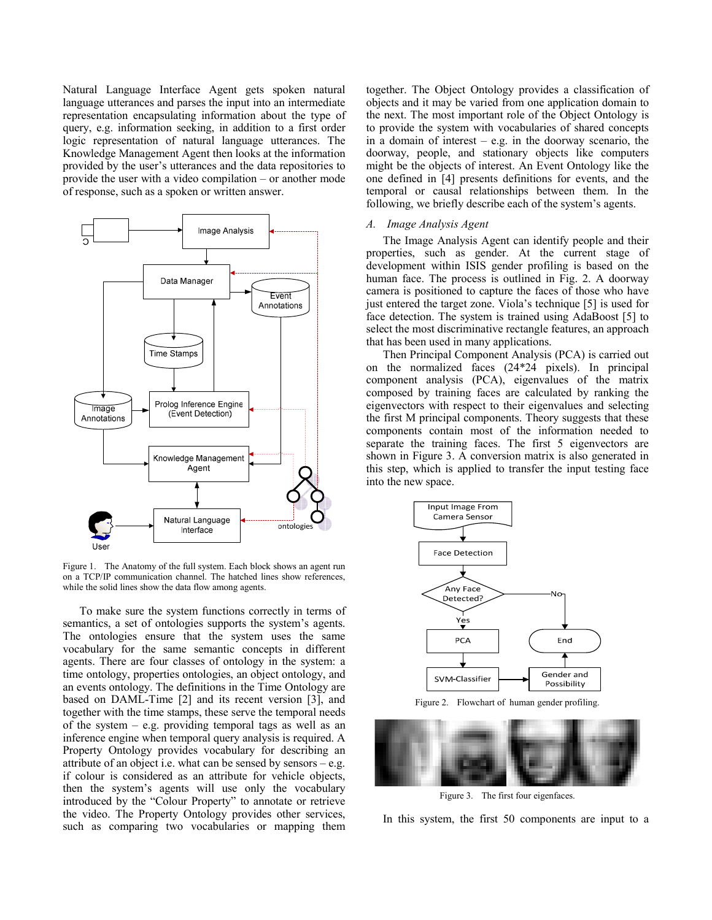Natural Language Interface Agent gets spoken natural language utterances and parses the input into an intermediate representation encapsulating information about the type of query, e.g. information seeking, in addition to a first order logic representation of natural language utterances. The Knowledge Management Agent then looks at the information provided by the user's utterances and the data repositories to provide the user with a video compilation – or another mode of response, such as a spoken or written answer.



Figure 1. The Anatomy of the full system. Each block shows an agent run on a TCP/IP communication channel. The hatched lines show references, while the solid lines show the data flow among agents.

To make sure the system functions correctly in terms of semantics, a set of ontologies supports the system's agents. The ontologies ensure that the system uses the same vocabulary for the same semantic concepts in different agents. There are four classes of ontology in the system: a time ontology, properties ontologies, an object ontology, and an events ontology. The definitions in the Time Ontology are based on DAML-Time [2] and its recent version [3], and together with the time stamps, these serve the temporal needs of the system – e.g. providing temporal tags as well as an inference engine when temporal query analysis is required. A Property Ontology provides vocabulary for describing an attribute of an object i.e. what can be sensed by sensors  $-e.g.$ if colour is considered as an attribute for vehicle objects, then the system's agents will use only the vocabulary introduced by the "Colour Property" to annotate or retrieve the video. The Property Ontology provides other services, such as comparing two vocabularies or mapping them

together. The Object Ontology provides a classification of objects and it may be varied from one application domain to the next. The most important role of the Object Ontology is to provide the system with vocabularies of shared concepts in a domain of interest  $-$  e.g. in the doorway scenario, the doorway, people, and stationary objects like computers might be the objects of interest. An Event Ontology like the one defined in [4] presents definitions for events, and the temporal or causal relationships between them. In the following, we briefly describe each of the system's agents.

#### *A. Image Analysis Agent*

The Image Analysis Agent can identify people and their properties, such as gender. At the current stage of development within ISIS gender profiling is based on the human face. The process is outlined in Fig. 2. A doorway camera is positioned to capture the faces of those who have just entered the target zone. Viola's technique [5] is used for face detection. The system is trained using AdaBoost [5] to select the most discriminative rectangle features, an approach that has been used in many applications.

Then Principal Component Analysis (PCA) is carried out on the normalized faces (24\*24 pixels). In principal component analysis (PCA), eigenvalues of the matrix composed by training faces are calculated by ranking the eigenvectors with respect to their eigenvalues and selecting the first M principal components. Theory suggests that these components contain most of the information needed to separate the training faces. The first 5 eigenvectors are shown in Figure 3. A conversion matrix is also generated in this step, which is applied to transfer the input testing face into the new space.





Figure 3. The first four eigenfaces.

In this system, the first 50 components are input to a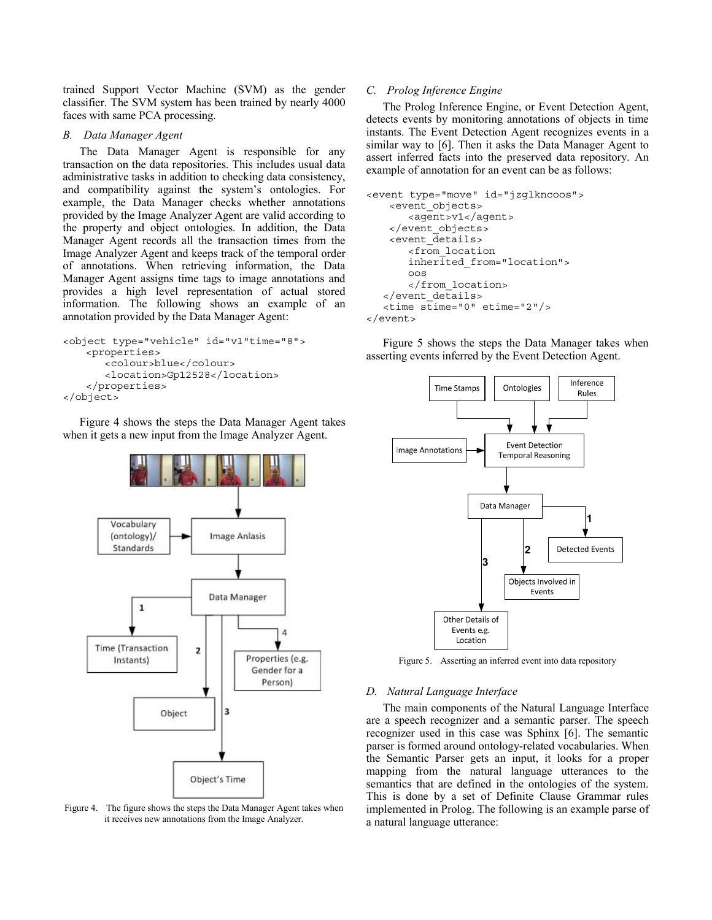trained Support Vector Machine (SVM) as the gender classifier. The SVM system has been trained by nearly 4000 faces with same PCA processing.

## *B. Data Manager Agent*

The Data Manager Agent is responsible for any transaction on the data repositories. This includes usual data administrative tasks in addition to checking data consistency, and compatibility against the system's ontologies. For example, the Data Manager checks whether annotations provided by the Image Analyzer Agent are valid according to the property and object ontologies. In addition, the Data Manager Agent records all the transaction times from the Image Analyzer Agent and keeps track of the temporal order of annotations. When retrieving information, the Data Manager Agent assigns time tags to image annotations and provides a high level representation of actual stored information. The following shows an example of an annotation provided by the Data Manager Agent:

```
<object type="vehicle" id="v1"time="8"> 
     <properties> 
        <colour>blue</colour> 
        <location>Gp12528</location> 
     </properties> 
</object>
```
Figure 4 shows the steps the Data Manager Agent takes when it gets a new input from the Image Analyzer Agent.



Figure 4. The figure shows the steps the Data Manager Agent takes when it receives new annotations from the Image Analyzer.

### *C. Prolog Inference Engine*

The Prolog Inference Engine, or Event Detection Agent, detects events by monitoring annotations of objects in time instants. The Event Detection Agent recognizes events in a similar way to [6]. Then it asks the Data Manager Agent to assert inferred facts into the preserved data repository. An example of annotation for an event can be as follows:

```
<event type="move" id="jzglkncoos"> 
    <event_objects> 
       <agent>v1</agent> 
    </event_objects> 
    <event_details> 
       <from_location 
       inherited_from="location"> 
       oos 
       </from_location> 
  </event_details> 
  <time stime="0" etime="2"/> 
</event>
```
Figure 5 shows the steps the Data Manager takes when asserting events inferred by the Event Detection Agent.



Figure 5. Asserting an inferred event into data repository

#### *D. Natural Language Interface*

The main components of the Natural Language Interface are a speech recognizer and a semantic parser. The speech recognizer used in this case was Sphinx [6]. The semantic parser is formed around ontology-related vocabularies. When the Semantic Parser gets an input, it looks for a proper mapping from the natural language utterances to the semantics that are defined in the ontologies of the system. This is done by a set of Definite Clause Grammar rules implemented in Prolog. The following is an example parse of a natural language utterance: